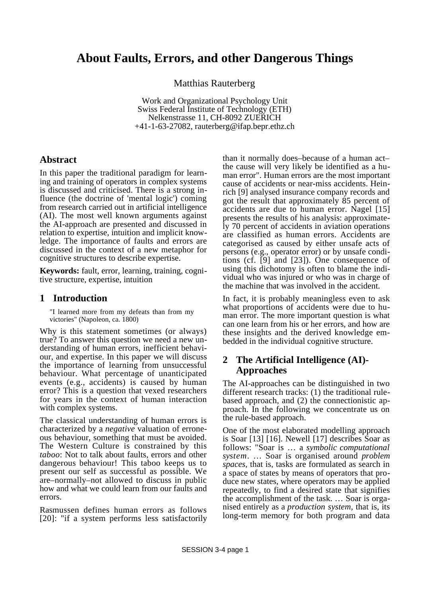# **About Faults, Errors, and other Dangerous Things**

Matthias Rauterberg

Work and Organizational Psychology Unit Swiss Federal Institute of Technology (ETH) Nelkenstrasse 11, CH-8092 ZUERICH +41-1-63-27082, rauterberg@ifap.bepr.ethz.ch

### **Abstract**

In this paper the traditional paradigm for learning and training of operators in complex systems is discussed and criticised. There is a strong influence (the doctrine of 'mental logic') coming from research carried out in artificial intelligence (AI). The most well known arguments against the AI-approach are presented and discussed in relation to expertise, intuition and implicit knowledge. The importance of faults and errors are discussed in the context of a new metaphor for cognitive structures to describe expertise.

**Keywords:** fault, error, learning, training, cognitive structure, expertise, intuition

### **1 Introduction**

"I learned more from my defeats than from my victories" (Napoleon, ca. 1800)

Why is this statement sometimes (or always) true? To answer this question we need a new understanding of human errors, inefficient behaviour, and expertise. In this paper we will discuss the importance of learning from unsuccessful behaviour. What percentage of unanticipated events (e.g., accidents) is caused by human error? This is a question that vexed researchers for years in the context of human interaction with complex systems.

The classical understanding of human errors is characterized by a *negative* valuation of erroneous behaviour, something that must be avoided. The Western Culture is constrained by this *taboo*: Not to talk about faults, errors and other dangerous behaviour! This taboo keeps us to present our self as successful as possible. We are–normally–not allowed to discuss in public how and what we could learn from our faults and errors.

Rasmussen defines human errors as follows [20]: "if a system performs less satisfactorily

than it normally does–because of a human act– the cause will very likely be identified as a human error". Human errors are the most important cause of accidents or near-miss accidents. Heinrich [9] analysed insurance company records and got the result that approximately 85 percent of accidents are due to human error. Nagel [15] presents the results of his analysis: approximately 70 percent of accidents in aviation operations are classified as human errors. Accidents are categorised as caused by either unsafe acts of persons (e.g., operator error) or by unsafe conditions (cf. [9] and [23]). One consequence of using this dichotomy is often to blame the individual who was injured or who was in charge of the machine that was involved in the accident.

In fact, it is probably meaningless even to ask what proportions of accidents were due to human error. The more important question is what can one learn from his or her errors, and how are these insights and the derived knowledge embedded in the individual cognitive structure.

# **2 The Artificial Intelligence (AI)- Approaches**

The AI-approaches can be distinguished in two different research tracks: (1) the traditional rulebased approach, and (2) the connectionistic approach. In the following we concentrate us on the rule-based approach.

One of the most elaborated modelling approach is Soar [13] [16]. Newell [17] describes Soar as follows: "Soar is … a *symbolic computational system*. … Soar is organised around *problem spaces,* that is, tasks are formulated as search in a space of states by means of operators that produce new states, where operators may be applied repeatedly, to find a desired state that signifies the accomplishment of the task. … Soar is organised entirely as a *production system,* that is, its long-term memory for both program and data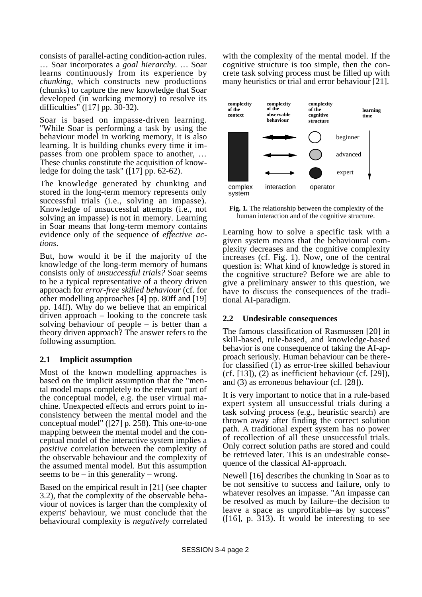consists of parallel-acting condition-action rules. … Soar incorporates a *goal hierarchy.* … Soar learns continuously from its experience by *chunking,* which constructs new productions (chunks) to capture the new knowledge that Soar developed (in working memory) to resolve its difficulties" ([17] pp. 30-32).

Soar is based on impasse-driven learning. "While Soar is performing a task by using the behaviour model in working memory, it is also learning. It is building chunks every time it impasses from one problem space to another, … These chunks constitute the acquisition of knowledge for doing the task" ([17] pp. 62-62).

The knowledge generated by chunking and stored in the long-term memory represents only successful trials (i.e., solving an impasse). Knowledge of unsuccessful attempts (i.e., not solving an impasse) is not in memory. Learning in Soar means that long-term memory contains evidence only of the sequence of *effective actions*.

But, how would it be if the majority of the knowledge of the long-term memory of humans consists only of *unsuccessful trials?* Soar seems to be a typical representative of a theory driven approach for *error-free skilled behaviour* (cf. for other modelling approaches [4] pp. 80ff and [19] pp. 14ff). Why do we believe that an empirical driven approach – looking to the concrete task solving behaviour of people – is better than a theory driven approach? The answer refers to the following assumption.

#### **2.1 Implicit assumption**

Most of the known modelling approaches is based on the implicit assumption that the "mental model maps completely to the relevant part of the conceptual model, e.g. the user virtual machine. Unexpected effects and errors point to inconsistency between the mental model and the conceptual model" ([27] p. 258). This one-to-one mapping between the mental model and the conceptual model of the interactive system implies a *positive* correlation between the complexity of the observable behaviour and the complexity of the assumed mental model. But this assumption seems to be  $-$  in this generality  $-$  wrong.

Based on the empirical result in [21] (see chapter 3.2), that the complexity of the observable behaviour of novices is larger than the complexity of experts' behaviour, we must conclude that the behavioural complexity is *negatively* correlated with the complexity of the mental model. If the cognitive structure is too simple, then the concrete task solving process must be filled up with many heuristics or trial and error behaviour [21].



**Fig. 1.** The relationship between the complexity of the human interaction and of the cognitive structure.

Learning how to solve a specific task with a given system means that the behavioural complexity decreases and the cognitive complexity increases (cf. Fig. 1). Now, one of the central question is: What kind of knowledge is stored in the cognitive structure? Before we are able to give a preliminary answer to this question, we have to discuss the consequences of the traditional AI-paradigm.

### **2.2 Undesirable consequences**

The famous classification of Rasmussen [20] in skill-based, rule-based, and knowledge-based behavior is one consequence of taking the AI-approach seriously. Human behaviour can be therefor classified (1) as error-free skilled behaviour (cf.  $[13]$ ),  $(2)$  as inefficient behaviour (cf.  $[29]$ ), and (3) as erroneous behaviour (cf. [28]).

It is very important to notice that in a rule-based expert system all unsuccessful trials during a task solving process (e.g., heuristic search) are thrown away after finding the correct solution path. A traditional expert system has no power of recollection of all these unsuccessful trials. Only correct solution paths are stored and could be retrieved later. This is an undesirable consequence of the classical AI-approach.

Newell [16] describes the chunking in Soar as to be not sensitive to success and failure, only to whatever resolves an impasse. "An impasse can be resolved as much by failure–the decision to leave a space as unprofitable–as by success"  $(16)$ , p. 313). It would be interesting to see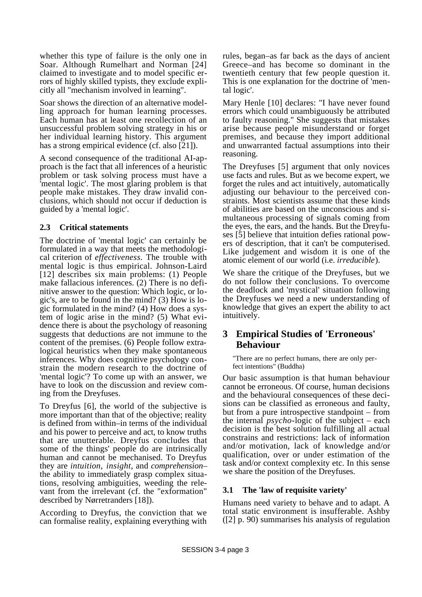whether this type of failure is the only one in Soar. Although Rumelhart and Norman [24] claimed to investigate and to model specific errors of highly skilled typists, they exclude explicitly all "mechanism involved in learning".

Soar shows the direction of an alternative modelling approach for human learning processes. Each human has at least one recollection of an unsuccessful problem solving strategy in his or her individual learning history. This argument has a strong empirical evidence (cf. also [21]).

A second consequence of the traditional AI-approach is the fact that all inferences of a heuristic problem or task solving process must have a 'mental logic'. The most glaring problem is that people make mistakes. They draw invalid conclusions, which should not occur if deduction is guided by a 'mental logic'.

#### **2.3 Critical statements**

The doctrine of 'mental logic' can certainly be formulated in a way that meets the methodological criterion of *effectiveness*. The trouble with mental logic is thus empirical. Johnson-Laird [12] describes six main problems: (1) People make fallacious inferences. (2) There is no definitive answer to the question: Which logic, or logic's, are to be found in the mind? (3) How is logic formulated in the mind? (4) How does a system of logic arise in the mind? (5) What evidence there is about the psychology of reasoning suggests that deductions are not immune to the content of the premises. (6) People follow extralogical heuristics when they make spontaneous inferences. Why does cognitive psychology constrain the modern research to the doctrine of 'mental logic'? To come up with an answer, we have to look on the discussion and review coming from the Dreyfuses.

To Dreyfus [6], the world of the subjective is more important than that of the objective; reality is defined from within–in terms of the individual and his power to perceive and act, to know truths that are unutterable. Dreyfus concludes that some of the things' people do are intrinsically human and cannot be mechanised. To Dreyfus they are *intuition*, *insight*, and *comprehension*– the ability to immediately grasp complex situations, resolving ambiguities, weeding the relevant from the irrelevant (cf. the "exformation" described by Nørretranders [18]).

According to Dreyfus, the conviction that we can formalise reality, explaining everything with

rules, began–as far back as the days of ancient Greece–and has become so dominant in the twentieth century that few people question it. This is one explanation for the doctrine of 'mental logic'.

Mary Henle [10] declares: "I have never found errors which could unambiguously be attributed to faulty reasoning." She suggests that mistakes arise because people misunderstand or forget premises, and because they import additional and unwarranted factual assumptions into their reasoning.

The Dreyfuses [5] argument that only novices use facts and rules. But as we become expert, we forget the rules and act intuitively, automatically adjusting our behaviour to the perceived constraints. Most scientists assume that these kinds of abilities are based on the unconscious and simultaneous processing of signals coming from the eyes, the ears, and the hands. But the Dreyfuses [5] believe that intuition defies rational powers of description, that it can't be computerised. Like judgement and wisdom it is one of the atomic element of our world (i.e. *irreducible*).

We share the critique of the Dreyfuses, but we do not follow their conclusions. To overcome the deadlock and 'mystical' situation following the Dreyfuses we need a new understanding of knowledge that gives an expert the ability to act intuitively.

# **3 Empirical Studies of 'Erroneous' Behaviour**

"There are no perfect humans, there are only perfect intentions" (Buddha)

Our basic assumption is that human behaviour cannot be erroneous. Of course, human decisions and the behavioural consequences of these decisions can be classified as erroneous and faulty, but from a pure introspective standpoint – from the internal *psycho-*logic of the subject – each decision is the best solution fulfilling all actual constrains and restrictions: lack of information and/or motivation, lack of knowledge and/or qualification, over or under estimation of the task and/or context complexity etc. In this sense we share the position of the Dreyfuses.

### **3.1 The 'law of requisite variety'**

Humans need variety to behave and to adapt. A total static environment is insufferable. Ashby ([2] p. 90) summarises his analysis of regulation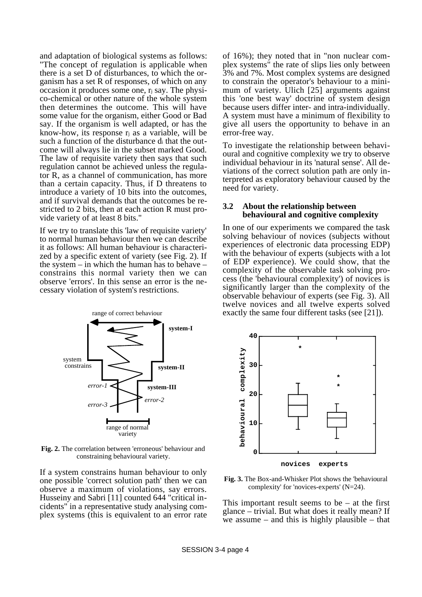and adaptation of biological systems as follows: "The concept of regulation is applicable when there is a set D of disturbances, to which the organism has a set R of responses, of which on any occasion it produces some one, rj say. The physico-chemical or other nature of the whole system then determines the outcome. This will have some value for the organism, either Good or Bad say. If the organism is well adapted, or has the know-how, its response  $r_i$  as a variable, will be such a function of the disturbance di that the outcome will always lie in the subset marked Good. The law of requisite variety then says that such regulation cannot be achieved unless the regulator R, as a channel of communication, has more than a certain capacity. Thus, if D threatens to introduce a variety of 10 bits into the outcomes, and if survival demands that the outcomes be restricted to 2 bits, then at each action R must provide variety of at least 8 bits."

If we try to translate this 'law of requisite variety' to normal human behaviour then we can describe it as follows: All human behaviour is characterized by a specific extent of variety (see Fig. 2). If the system  $-$  in which the human has to behave  $$ constrains this normal variety then we can observe 'errors'. In this sense an error is the necessary violation of system's restrictions.



**Fig. 2.** The correlation between 'erroneous' behaviour and constraining behavioural variety.

If a system constrains human behaviour to only one possible 'correct solution path' then we can observe a maximum of violations, say errors. Husseiny and Sabri [11] counted 644 "critical incidents" in a representative study analysing complex systems (this is equivalent to an error rate of 16%); they noted that in "non nuclear complex systems" the rate of slips lies only between 3% and 7%. Most complex systems are designed to constrain the operator's behaviour to a minimum of variety. Ulich [25] arguments against this 'one best way' doctrine of system design because users differ inter- and intra-individually. A system must have a minimum of flexibility to give all users the opportunity to behave in an error-free way.

To investigate the relationship between behavioural and cognitive complexity we try to observe individual behaviour in its 'natural sense'. All deviations of the correct solution path are only interpreted as exploratory behaviour caused by the need for variety.

#### **3.2 About the relationship between behavioural and cognitive complexity**

In one of our experiments we compared the task solving behaviour of novices (subjects without experiences of electronic data processing EDP) with the behaviour of experts (subjects with a lot of EDP experience). We could show, that the complexity of the observable task solving process (the 'behavioural complexity') of novices is significantly larger than the complexity of the observable behaviour of experts (see Fig. 3). All twelve novices and all twelve experts solved exactly the same four different tasks (see [21]).



**Fig. 3.** The Box-and-Whisker Plot shows the 'behavioural complexity' for 'novices-experts' (N=24).

This important result seems to be – at the first glance – trivial. But what does it really mean? If we assume – and this is highly plausible – that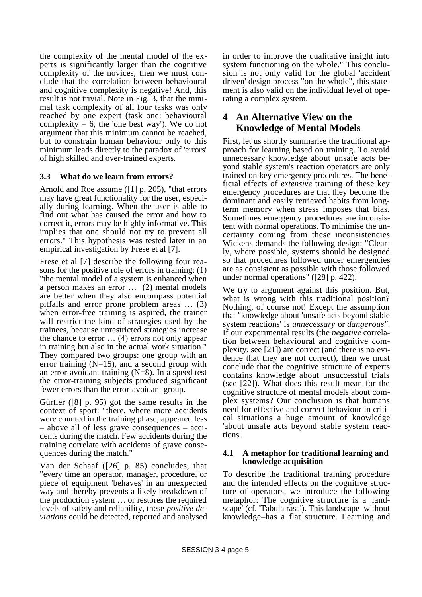the complexity of the mental model of the experts is significantly larger than the cognitive complexity of the novices, then we must conclude that the correlation between behavioural and cognitive complexity is negative! And, this result is not trivial. Note in Fig. 3, that the minimal task complexity of all four tasks was only reached by one expert (task one: behavioural complexity  $= 6$ , the 'one best way'). We do not argument that this minimum cannot be reached, but to constrain human behaviour only to this minimum leads directly to the paradox of 'errors' of high skilled and over-trained experts.

#### **3.3 What do we learn from errors?**

Arnold and Roe assume ([1] p. 205), "that errors may have great functionality for the user, especially during learning. When the user is able to find out what has caused the error and how to correct it, errors may be highly informative. This implies that one should not try to prevent all errors." This hypothesis was tested later in an empirical investigation by Frese et al [7].

Frese et al [7] describe the following four reasons for the positive role of errors in training: (1) "the mental model of a system is enhanced when a person makes an error … (2) mental models are better when they also encompass potential pitfalls and error prone problem areas … (3) when error-free training is aspired, the trainer will restrict the kind of strategies used by the trainees, because unrestricted strategies increase the chance to error … (4) errors not only appear in training but also in the actual work situation." They compared two groups: one group with an error training  $(N=15)$ , and a second group with an error-avoidant training  $(N=8)$ . In a speed test the error-training subjects produced significant fewer errors than the error-avoidant group.

Gürtler ([8] p. 95) got the same results in the context of sport: "there, where more accidents were counted in the training phase, appeared less – above all of less grave consequences – accidents during the match. Few accidents during the training correlate with accidents of grave consequences during the match."

Van der Schaaf ([26] p. 85) concludes, that "every time an operator, manager, procedure, or piece of equipment 'behaves' in an unexpected way and thereby prevents a likely breakdown of the production system … or restores the required levels of safety and reliability, these *positive deviations* could be detected, reported and analysed in order to improve the qualitative insight into system functioning on the whole." This conclusion is not only valid for the global 'accident driven' design process "on the whole", this statement is also valid on the individual level of operating a complex system.

# **4 An Alternative View on the Knowledge of Mental Models**

First, let us shortly summarise the traditional approach for learning based on training. To avoid unnecessary knowledge about unsafe acts beyond stable system's reaction operators are only trained on key emergency procedures. The beneficial effects of *extensive* training of these key emergency procedures are that they become the dominant and easily retrieved habits from longterm memory when stress imposes that bias. Sometimes emergency procedures are inconsistent with normal operations. To minimise the uncertainty coming from these inconsistencies Wickens demands the following design: "Clearly, where possible, systems should be designed so that procedures followed under emergencies are as consistent as possible with those followed under normal operations" ([28] p. 422).

We try to argument against this position. But, what is wrong with this traditional position? Nothing, of course not! Except the assumption that "knowledge about 'unsafe acts beyond stable system reactions' is *unnecessary* or *dangerous"*. If our experimental results (the *negative* correlation between behavioural and cognitive complexity, see [21]) are correct (and there is no evidence that they are not correct), then we must conclude that the cognitive structure of experts contains knowledge about unsuccessful trials (see [22]). What does this result mean for the cognitive structure of mental models about complex systems? Our conclusion is that humans need for effective and correct behaviour in critical situations a huge amount of knowledge 'about unsafe acts beyond stable system reactions'.

#### **4.1 A metaphor for traditional learning and knowledge acquisition**

To describe the traditional training procedure and the intended effects on the cognitive structure of operators, we introduce the following metaphor: The cognitive structure is a 'landscape' (cf. 'Tabula rasa'). This landscape–without knowledge–has a flat structure. Learning and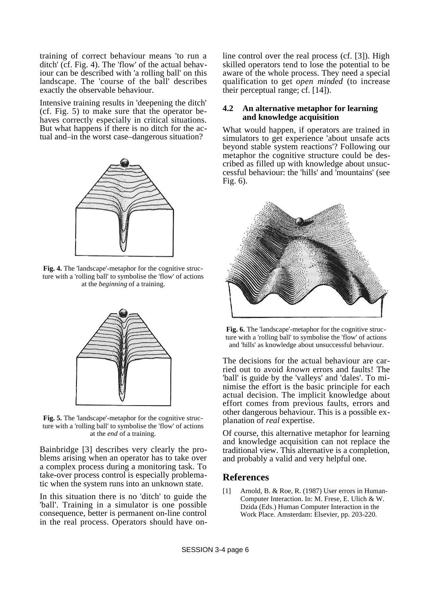training of correct behaviour means 'to run a ditch' (cf. Fig. 4). The 'flow' of the actual behaviour can be described with 'a rolling ball' on this landscape. The 'course of the ball' describes exactly the observable behaviour.

Intensive training results in 'deepening the ditch' (cf. Fig. 5) to make sure that the operator behaves correctly especially in critical situations. But what happens if there is no ditch for the actual and–in the worst case–dangerous situation?



**Fig. 4.** The 'landscape'-metaphor for the cognitive structure with a 'rolling ball' to symbolise the 'flow' of actions at the *beginning* of a training.



**Fig. 5.** The 'landscape'-metaphor for the cognitive structure with a 'rolling ball' to symbolise the 'flow' of actions at the *end* of a training.

Bainbridge [3] describes very clearly the problems arising when an operator has to take over a complex process during a monitoring task. To take-over process control is especially problematic when the system runs into an unknown state.

In this situation there is no 'ditch' to guide the 'ball'. Training in a simulator is one possible consequence, better is permanent on-line control in the real process. Operators should have online control over the real process (cf. [3]). High skilled operators tend to lose the potential to be aware of the whole process. They need a special qualification to get *open minded* (to increase their perceptual range; cf. [14]).

#### **4.2 An alternative metaphor for learning and knowledge acquisition**

What would happen, if operators are trained in simulators to get experience 'about unsafe acts beyond stable system reactions'? Following our metaphor the cognitive structure could be described as filled up with knowledge about unsuccessful behaviour: the 'hills' and 'mountains' (see Fig. 6).



**Fig. 6.** The 'landscape'-metaphor for the cognitive structure with a 'rolling ball' to symbolise the 'flow' of actions and 'hills' as knowledge about unsuccessful behaviour.

The decisions for the actual behaviour are carried out to avoid *known* errors and faults! The 'ball' is guide by the 'valleys' and 'dales'. To minimise the effort is the basic principle for each actual decision. The implicit knowledge about effort comes from previous faults, errors and other dangerous behaviour. This is a possible explanation of *real* expertise.

Of course, this alternative metaphor for learning and knowledge acquisition can not replace the traditional view. This alternative is a completion, and probably a valid and very helpful one.

# **References**

[1] Arnold, B. & Roe, R. (1987) User errors in Human-Computer Interaction. In: M. Frese, E. Ulich & W. Dzida (Eds.) Human Computer Interaction in the Work Place. Amsterdam: Elsevier, pp. 203-220.